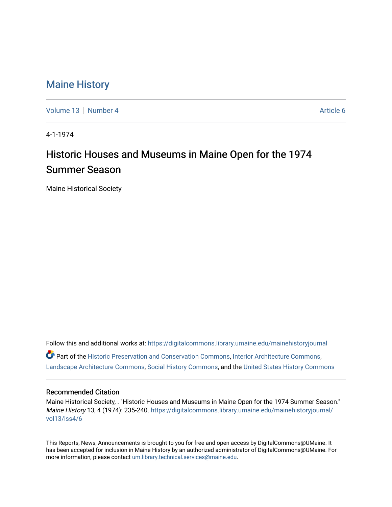# [Maine History](https://digitalcommons.library.umaine.edu/mainehistoryjournal)

[Volume 13](https://digitalcommons.library.umaine.edu/mainehistoryjournal/vol13) [Number 4](https://digitalcommons.library.umaine.edu/mainehistoryjournal/vol13/iss4) Article 6

4-1-1974

# Historic Houses and Museums in Maine Open for the 1974 Summer Season

Maine Historical Society

Follow this and additional works at: [https://digitalcommons.library.umaine.edu/mainehistoryjournal](https://digitalcommons.library.umaine.edu/mainehistoryjournal?utm_source=digitalcommons.library.umaine.edu%2Fmainehistoryjournal%2Fvol13%2Fiss4%2F6&utm_medium=PDF&utm_campaign=PDFCoverPages)  Part of the [Historic Preservation and Conservation Commons](http://network.bepress.com/hgg/discipline/781?utm_source=digitalcommons.library.umaine.edu%2Fmainehistoryjournal%2Fvol13%2Fiss4%2F6&utm_medium=PDF&utm_campaign=PDFCoverPages), [Interior Architecture Commons,](http://network.bepress.com/hgg/discipline/778?utm_source=digitalcommons.library.umaine.edu%2Fmainehistoryjournal%2Fvol13%2Fiss4%2F6&utm_medium=PDF&utm_campaign=PDFCoverPages) [Landscape Architecture Commons,](http://network.bepress.com/hgg/discipline/779?utm_source=digitalcommons.library.umaine.edu%2Fmainehistoryjournal%2Fvol13%2Fiss4%2F6&utm_medium=PDF&utm_campaign=PDFCoverPages) [Social History Commons](http://network.bepress.com/hgg/discipline/506?utm_source=digitalcommons.library.umaine.edu%2Fmainehistoryjournal%2Fvol13%2Fiss4%2F6&utm_medium=PDF&utm_campaign=PDFCoverPages), and the [United States History Commons](http://network.bepress.com/hgg/discipline/495?utm_source=digitalcommons.library.umaine.edu%2Fmainehistoryjournal%2Fvol13%2Fiss4%2F6&utm_medium=PDF&utm_campaign=PDFCoverPages) 

# Recommended Citation

Maine Historical Society, . "Historic Houses and Museums in Maine Open for the 1974 Summer Season." Maine History 13, 4 (1974): 235-240. [https://digitalcommons.library.umaine.edu/mainehistoryjournal/](https://digitalcommons.library.umaine.edu/mainehistoryjournal/vol13/iss4/6?utm_source=digitalcommons.library.umaine.edu%2Fmainehistoryjournal%2Fvol13%2Fiss4%2F6&utm_medium=PDF&utm_campaign=PDFCoverPages) [vol13/iss4/6](https://digitalcommons.library.umaine.edu/mainehistoryjournal/vol13/iss4/6?utm_source=digitalcommons.library.umaine.edu%2Fmainehistoryjournal%2Fvol13%2Fiss4%2F6&utm_medium=PDF&utm_campaign=PDFCoverPages)

This Reports, News, Announcements is brought to you for free and open access by DigitalCommons@UMaine. It has been accepted for inclusion in Maine History by an authorized administrator of DigitalCommons@UMaine. For more information, please contact [um.library.technical.services@maine.edu](mailto:um.library.technical.services@maine.edu).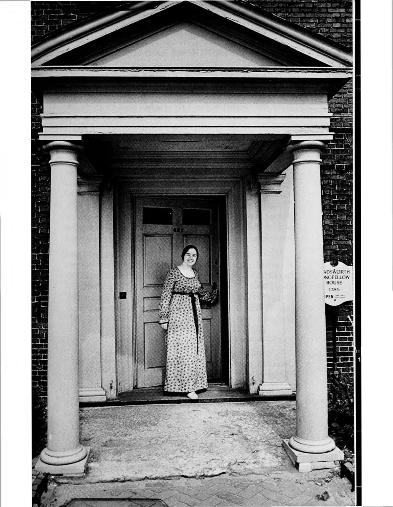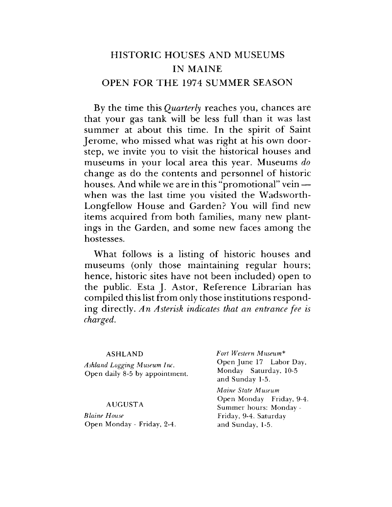# HISTORIC HOUSES AND MUSEUMS IN MAINE OPEN FOR THE 1974 SUMMER SEASON

By the time this *Quarterly* reaches you, chances are that your gas tank will be less full than it was last summer at about this time. In the spirit of Saint Jerome, who missed what was right at his own doorstep, we invite you to visit the historical houses and museums in your local area this year. Museums *do* change as do the contents and personnel of historic houses. And while we are in this "promotional" vein when was the last time you visited the Wadsworth-Longfellow House and Garden? You will find new items acquired from both families, many new plantings in the Garden, and some new faces among the hostesses.

What follows is a listing of historic houses and museums (only those maintaining regular hours; hence, historic sites have not been included) open to the public. Esta J. Astor, Reference Librarian has compiled this list from only those institutions responding directly. *An Asterisk indicates that an entrance fee is charged.*

# ASHLAND

*Ashland Logging Museum Inc.* Open daily 8-5 by appointment.

#### AUGUSTA

*Blaine House* Open Monday - Friday, 2-4. *Fort Western Museum\** Open June 17 Labor Day, Monday Saturday, 10-5 and Sunday 1-5.

*Maine State Museum* Open Monday Friday, 9-4. Summer hours: Monday - Friday, 9-4. Saturday and Sunday, 1-5.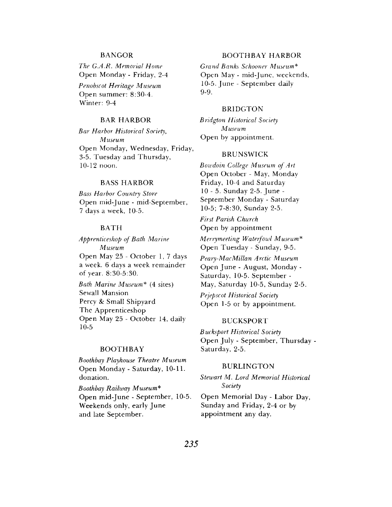# BANGOR

*The (j.A.K. Memorial Home* Open Monday - Friday, 2-4

*Penobscot Heritage Museum* Open summer: 8:30-4. Winter: 9-4

#### BAR HARBOR

*Bar Harbor Historical Society, Museum* Open Monday, Wednesday, Friday, 3-5. Tuesday and Thursday, 10-12 noon.

# BASS HARBOR

*Bass Harbor Country Store* Open mid-June - mid-September, 7 days a week, 10-5.

### BATH

*Apprenticeshop of Bath Marine Museum* Open May 25 - October 1, 7 days a week. 6 days a week remainder of year. 8:30-5:30.

*Bath Marine Museum\** (4 sites) Sewall Mansion Percy & Small Shipyard The Apprenticeshop Open May 25 - October 14, daily 10-5

### BOOTHBAY

*Boothbay Playhouse Theatre Museum* Open Monday - Saturday, 10-11. donation.

*Boothbay Railway Museum\** Open mid-June - September, 10-5. Weekends only, early June and late September.

# BOOTHBAY HARBOR

*Grand Banks Schooner Museum\** Open May - mid-June, weekends, 10-5. June - September daily 9-9.

# BRIDGTON

*Bridgton Historical Society Museum* Open by appointment.

#### BRUNSWICK

*Bowdoin College Museum of Art* Open October - May, Monday Friday, 10-4 and Saturday 10 - 5. Sunday 2-5. June - September Monday - Saturday 10-5; 7-8:30, Sunday 2-5.

*First Parish Church* Open by appointment

*Merrymeeting Waterfowl Museum\** Open Tuesday - Sunday, 9-5.

*Peary-MacMillan Arctic Museum* Open June - August, Monday - Saturday, 10-5. September -

May, Saturday 10-5, Sunday 2-5.

*Pejepscot Historical Society* Open 1-5 or by appointment.

#### BUCKSPORT

*Bucksport Historical Society* Open July - September, Thursday - Saturday, 2-5.

# BURLINGTON

*Stewart M. Lord Memorial Historical Society*

Open Memorial Day - Labor Day, Sunday and Friday, 2-4 or by appointment any day.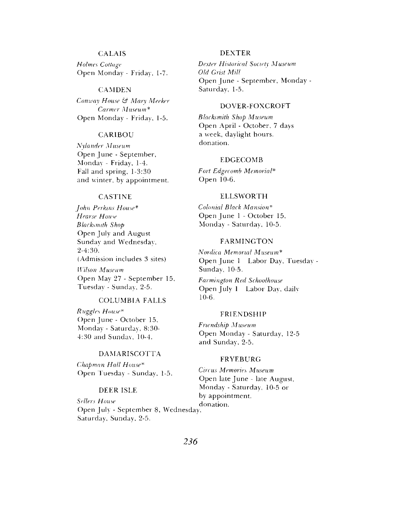*Holmes Cottage* Open Monday - Friday, 1-7.

### **CAMDEN**

*Conway House & Mary Meeker Carmer Museum\** Open Monday - Friday, 1-5.

# CARIBOU

*Nyla tider* A*<sup>1</sup> useu m* Open June - September, Monday - Friday, 1-4. Fall and spring, 1-3:30 and winter, by appointment.

#### CASTINE

*John Perkins House\* Hearse House Blacksmith Shop* Open July and August Sunday and Wednesday,  $2-4:30.$ (Admission includes 3 sites)

*IVilson Museum* Open May 27 - September 15, Tuesday - Sunday, 2-5.

# COLUMBIA FALLS

*Ruggles House \** Open June - October 15, Monday - Saturday, 8:30- 4:30 and Sunday, 10-4.

# DAMARISCOTTA

*Chapman Hall House\** Open Tuesday - Sunday, 1-5. *Circus Memories Museum*

# DEER ISLE

Open July - September 8, Wednesday, Saturday, Sunday, 2-5. *Sellers House*

### CALAIS DEXTER

*Dexter Historical Society Museum Old Grist Mill* Open June - September, Monday - Saturday, 1-5.

# DOVER-FOXCROFT

*Blacksmith Shop Museum* Open April - October, 7 days a week, daylight hours, donation.

#### EDGECOMB

*Fort Edgecomb Memorial\** Open 10-6.

### **ELLSWORTH**

*Colonial Black Mansion\** Open June <sup>1</sup> - October 15, Monday - Saturday, 10-5.

# FARMINGTON

*Nordica Memorial Museum\** Open June 1 Labor Day, Tuesday -Sunday, 10-5.

*Farmington Red Schoolhouse* Open July <sup>1</sup> Labor Day, daily 10-6.

#### FRIENDSHIP

*Friendship Museum* Open Monday - Saturday, 12-5 and Sunday, 2-5.

# FRYEBURG

Open late June - late August, Monday - Saturday, 10-5 or by appointment. donation.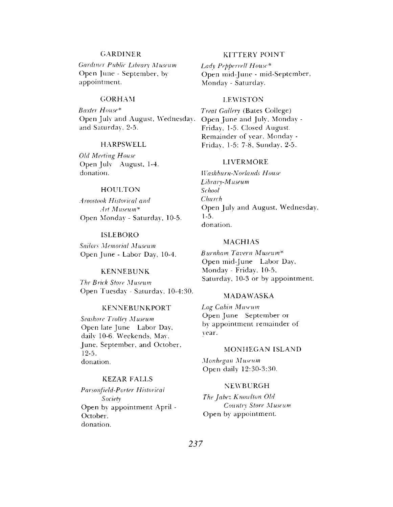*Gardiner Public Library Museum* Open June - September, by appointment.

# GORHAM

*Baxter House\** Open July and August, Wednesday, and Saturday, 2-5.

# HARPSWELL

*Old Meeting House* Open July August, 1-4. donation.

### HOULTON

*Aroostook Historical and Art Museum\** Open Monday - Saturday, 10-5.

# ISLEBORO

*Sailors Memorial Museum* Open June - Labor Day, 10-4.

# KENNEBUNK

*The Brick Store Museum* Open Tuesday - Saturday, 10-4:30.

# KENNEBUNKPORT

*Seashore Trolley Museum* Open late June Labor Day, daily 10-6. Weekends, May, June, September, and October, 12-5. donation.

# KEZAR FALLS

*Parsonfield-Porter Historical Society* Open by appointment April - October. donation.

# GARDINER KITTERY POINT

*Lady Pepperrell House\** Open mid-June - mid-September, Monday - Saturday.

# LEWISTON

*Treat Gallery* (Bates College) Open June and July, Monday - Friday, 1-5. Closed August. Remainder of year, Monday - Friday, 1-5; 7-8, Sunday, 2-5.

#### LIVERMORE

 $Washburn-Norlands House$ *Library-Museum School Chu rch* Open July and August, Wednesday, 1-5. donation.

#### MACHIAS

*Burnham Tavern Museum\** Open mid-June Labor Day, Monday - Friday, 10-5, Saturday, 10-3 or by appointment.

### MADAWASKA

*Log Cabin Museum* Open June September or by appointment remainder of year.

# MONHEGAN ISLAND

*Monhegan Museum* Open daily 12:30-3:30.

# NEWBURGH

*The Jabez Knowlton Old Country Store Museum* Open by appointment.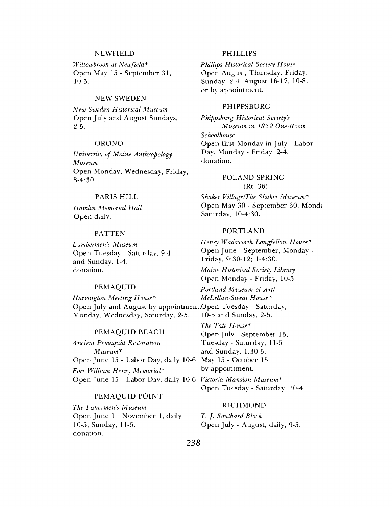# NEWFIELD PHILLIPS

*Willowbrook at Newfield\** Open May 15 - September 31, 10-5.

# NEW SWEDEN

*New Sweden Historical Museum* Open July and August Sundays, 2-5.

#### ORONO

*University of Maine Anthropology Museum* Open Monday, Wednesday, Friday, 8-4:30.

# PARIS HILL

*Hamlin Memorial Hall* Open daily.

#### PATTEN

*Lumbermens Museum* Open Tuesday - Saturday, 9-4 and Sunday, 1-4. donation.

#### PEMAQUID

*Harrington Meeting House\** Open July and August by appointment ,Open Tuesday - Saturday, Monday, Wednesday, Saturday, 2-5. *McLellan-Sweat House\** 10-5 and Sunday, 2-5.

#### PEMAQUID BEACH

*Ancient Pemaquid Restoration Museum\** Open June 15 - Labor Day, daily 10-6. May 15 - October 15 *Fort William Henry Memorial\** Open June 15 - Labor Day, daily 10-6. *Victoria Mansion Museum\** by appointment.

# PEMAQUID POINT

*The Fishermen s Museum* Open June 1 - November 1, daily 10-5, Sunday, 11-5. donation.

*Phillips Historical Society House* Open August, Thursday, Friday, Sunday, 2-4. August 16-17, 10-8, or by appointment.

#### PHIPPSBURG

*Phippsburg Historical Society's Museum in 1859 One-Room Schoolhouse* Open first Monday in July - Labor Day. Monday - Friday, 2-4. donation.

# POLAND SPRING (Rt. 36)

*Shaker Village/The Shaker Museum\** Open May 30 - September 30, Mond; Saturday, 10-4:30.

# PORTLAND

*Henry Wadsworth Longfellow House\** Open June - September, Monday - Friday, 9:30-12; 1-4:30.

*Maine Historical Society Library* Open Monday - Friday, 10-5.

*Portland Museum of Art/*

*The Tate House\** Open July - September 15, Tuesday - Saturday, 11-5 and Sunday, 1:30-5.

Open Tuesday - Saturday, 10-4.

### RICHMOND

*T.J. Southard Block* Open July - August, daily, 9-5.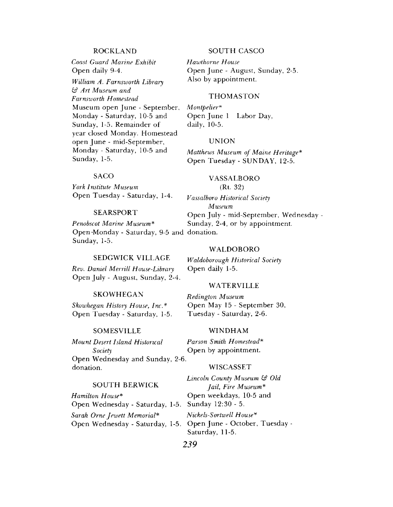*Coast Guard Marine Exhibit* Open daily 9-4.

*William A. Farnsworth Library & Art Museum and Farnsworth Homestead* Museum open June - September, Monday - Saturday, 10-5 and Sunday, 1-5. Remainder of year closed Monday. Homestead open June - mid-September, Monday - Saturday, 10-5 and Sunday, 1-5.

# SACO

*York Institute Museum* Open Tuesday - Saturday, 1-4.

# SEARSPORT

*Penobscot Marine Museum\** Open 'Monday - Saturday, 9-5 and donation. Sunday, 1-5.

#### SEDGWICK VILLAGE

*Rev. Daniel Merrill House-Library* Open July - August, Sunday, 2-4.

## SKOWHEGAN

*Skowhegan History House, Inc. \** Open Tuesday - Saturday, 1-5.

# SOMESVILLE WINDHAM

*Mount Desert Island Historical* Society Open Wednesday and Sunday, 2-6. donation. WISCASSET

# SOUTH BERWICK

*Hamilton House\** Open Wednesday - Saturday, *Sarah Orne Jewett Memorial\** Open Wednesday - Saturday,

# ROCKLAND SOUTH CASCO

*Hawthorne House* Open June - August, Sunday, 2-5. Also by appointment.

#### THOMASTON

*Montpelier\** Open June <sup>1</sup> Labor Day, daily, 10-5.

#### UNION

*Matthews Museum of Maine Heritage\** Open Tuesday - SUNDAY, 12-5.

# VASSALBORO

(Rt. 32)

*Vassalboro Historical Society*

*Museum* Open July - mid-September, Wednesday - Sunday, 2-4, or by appointment,

### WALDOBORO

*Waldoborough Historical Society* Open daily 1-5.

#### WATERVILLE

*Redington Museum* Open May 15 - September 30, Tuesday - Saturday, 2-6.

*Parson Smith Homestead\** Open by appointment.

*Lincoln County Museum & Old Jail, Fire Museum\** Open weekdays, 10-5 and Sunday 12:30 - 5. *Nickels-Sortwell House\** Open June - October, Tuesday -Saturday, 11-5.